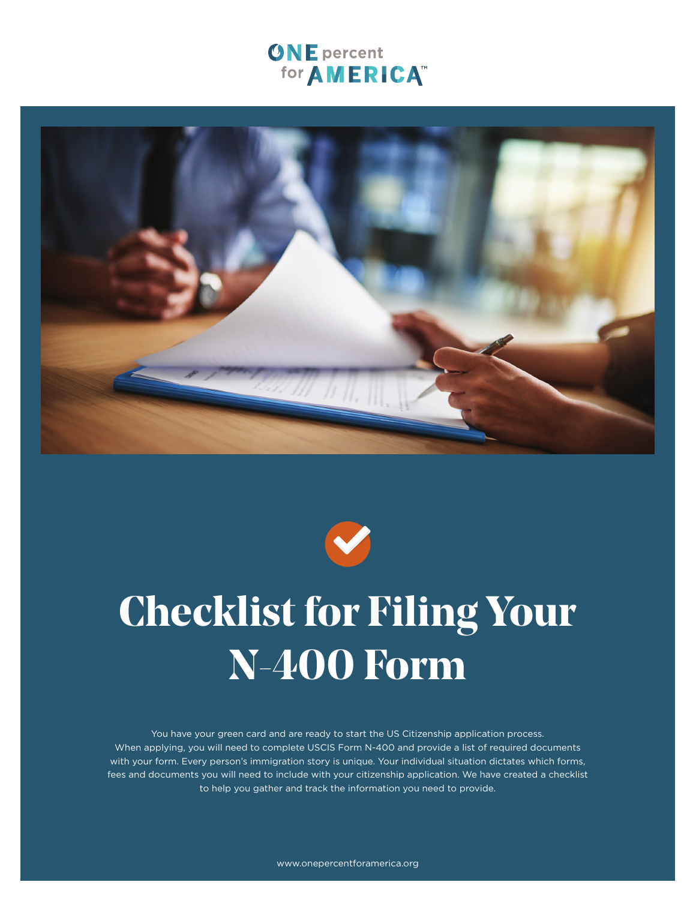# **ONE** percent for **AMERICA**<sup>™</sup>





# **Checklist for Filing Your N-400 Form**

You have your green card and are ready to start the US Citizenship application process. When applying, you will need to complete USCIS Form N-400 and provide a list of required documents with your form. Every person's immigration story is unique. Your individual situation dictates which forms, fees and documents you will need to include with your citizenship application. We have created a checklist to help you gather and track the information you need to provide.